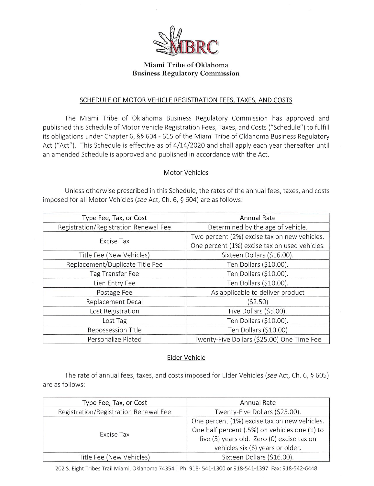

#### Miami Tribe of Oklahoma Business Regulatory Commission

#### SCHEDULE OF MOTOR VEHICLE REGISTRATION FEES, TAXES, AND COSTS

The Miami Tribe of Oklahoma Business Regulatory Commission has approved and published this Schedule of Motor Vehicle Registration Fees, Taxes, and Costs ("Schedule") to fulfill its obligations under Chapter 6, §§ 604 - 615 of the Miami Tribe of Oklahoma Business Regulatory Act ("Act"). This Schedule is effective as of 4/14/2020 and shall apply each year thereafter until an amended Schedule is approved and published in accordance with the Act.

#### Motor Vehicles

Unless otherwise prescribed in this Schedule, the rates of the annual fees, taxes, and costs imposed for all Motor Vehicles (see Act, Ch. 6, § 604) are as follows:

| Type Fee, Tax, or Cost                | <b>Annual Rate</b>                            |
|---------------------------------------|-----------------------------------------------|
| Registration/Registration Renewal Fee | Determined by the age of vehicle.             |
|                                       | Two percent (2%) excise tax on new vehicles.  |
| Excise Tax                            | One percent (1%) excise tax on used vehicles. |
| Title Fee (New Vehicles)              | Sixteen Dollars (\$16.00).                    |
| Replacement/Duplicate Title Fee       | Ten Dollars (\$10.00).                        |
| Tag Transfer Fee                      | Ten Dollars (\$10.00).                        |
| Lien Entry Fee                        | Ten Dollars (\$10.00).                        |
| Postage Fee                           | As applicable to deliver product              |
| Replacement Decal                     | (\$2.50)                                      |
| Lost Registration                     | Five Dollars (\$5.00).                        |
| Lost Tag                              | Ten Dollars (\$10.00).                        |
| Repossession Title                    | Ten Dollars (\$10.00)                         |
| Personalize Plated                    | Twenty-Five Dollars (\$25.00) One Time Fee    |

#### Elder Vehicle

The rate of annual fees, taxes, and costs imposed for Elder Vehicles (see Act, Ch. 6, § 605) are as follows:

| Type Fee, Tax, or Cost                | Annual Rate                                                                                                                                                                     |
|---------------------------------------|---------------------------------------------------------------------------------------------------------------------------------------------------------------------------------|
| Registration/Registration Renewal Fee | Twenty-Five Dollars (\$25.00).                                                                                                                                                  |
| Excise Tax                            | One percent (1%) excise tax on new vehicles.<br>One half percent (.5%) on vehicles one (1) to<br>five (5) years old. Zero (0) excise tax on<br>vehicles six (6) years or older. |
| Title Fee (New Vehicles)              | Sixteen Dollars (\$16.00).                                                                                                                                                      |

202 S. Eight Tribes Trail Miami, Oklahoma 74354 | Ph: 918- 541-1300 or 918-541-1397 Fax: 918-542-6448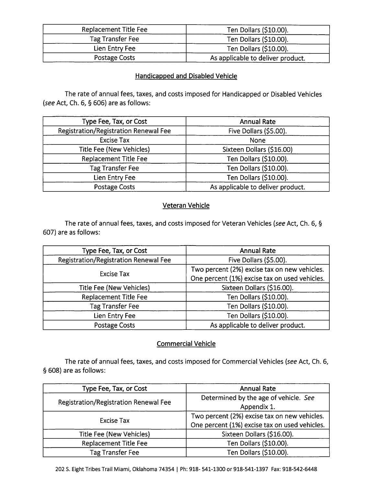| Replacement Title Fee | Ten Dollars (\$10.00).            |
|-----------------------|-----------------------------------|
| Tag Transfer Fee      | Ten Dollars (\$10.00).            |
| Lien Entry Fee        | Ten Dollars (\$10.00).            |
| Postage Costs         | As applicable to deliver product. |

### Handicapped and Disabled Vehicle

Ihe rate of annual fees, taxes, and costs imposed for Handicapped or Disabled Vehicles (see Act, Ch. 6, §606) are as follows:

| Type Fee, Tax, or Cost                | <b>Annual Rate</b>                |
|---------------------------------------|-----------------------------------|
| Registration/Registration Renewal Fee | Five Dollars (\$5.00).            |
| <b>Excise Tax</b>                     | None                              |
| <b>Title Fee (New Vehicles)</b>       | Sixteen Dollars (\$16.00)         |
| Replacement Title Fee                 | Ten Dollars (\$10.00).            |
| <b>Tag Transfer Fee</b>               | Ten Dollars (\$10.00).            |
| Lien Entry Fee                        | Ten Dollars (\$10.00).            |
| Postage Costs                         | As applicable to deliver product. |

## Veteran Vehicle

The rate of annual fees, taxes, and costs imposed for Veteran Vehicles (see Act, Ch. 6, § 607) are as follows:

| Type Fee, Tax, or Cost                | <b>Annual Rate</b>                            |
|---------------------------------------|-----------------------------------------------|
| Registration/Registration Renewal Fee | Five Dollars (\$5.00).                        |
| <b>Excise Tax</b>                     | Two percent (2%) excise tax on new vehicles.  |
|                                       | One percent (1%) excise tax on used vehicles. |
| <b>Title Fee (New Vehicles)</b>       | Sixteen Dollars (\$16.00).                    |
| Replacement Title Fee                 | Ten Dollars (\$10.00).                        |
| <b>Tag Transfer Fee</b>               | Ten Dollars (\$10.00).                        |
| Lien Entry Fee                        | Ten Dollars (\$10.00).                        |
| <b>Postage Costs</b>                  | As applicable to deliver product.             |

# Commercial Vehicle

The rate of annual fees, taxes, and costs imposed for Commercial Vehicles (see Act, Ch. 6, § 608) are as follows:

| Type Fee, Tax, or Cost                | <b>Annual Rate</b>                            |
|---------------------------------------|-----------------------------------------------|
| Registration/Registration Renewal Fee | Determined by the age of vehicle. See         |
|                                       | Appendix 1.                                   |
| Excise Tax                            | Two percent (2%) excise tax on new vehicles.  |
|                                       | One percent (1%) excise tax on used vehicles. |
| Title Fee (New Vehicles)              | Sixteen Dollars (\$16.00).                    |
| Replacement Title Fee                 | Ten Dollars (\$10.00).                        |
| Tag Transfer Fee                      | Ten Dollars (\$10.00).                        |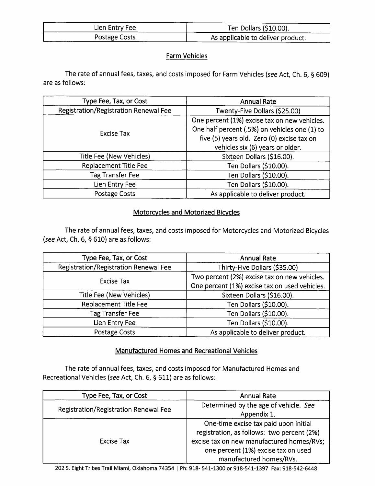| Lien Entry Fee | Ten Dollars (\$10.00).            |
|----------------|-----------------------------------|
| Postage Costs  | As applicable to deliver product. |

## Farm Vehicles

The rate of annual fees, taxes, and costs imposed for Farm Vehicles (see Act, Ch. 6, § 609) are as follows:

| Type Fee, Tax, or Cost                | <b>Annual Rate</b>                            |
|---------------------------------------|-----------------------------------------------|
| Registration/Registration Renewal Fee | Twenty-Five Dollars (\$25.00)                 |
| Excise Tax                            | One percent (1%) excise tax on new vehicles.  |
|                                       | One half percent (.5%) on vehicles one (1) to |
|                                       | five (5) years old. Zero (0) excise tax on    |
|                                       | vehicles six (6) years or older.              |
| Title Fee (New Vehicles)              | Sixteen Dollars (\$16.00).                    |
| Replacement Title Fee                 | Ten Dollars (\$10.00).                        |
| <b>Tag Transfer Fee</b>               | Ten Dollars (\$10.00).                        |
| Lien Entry Fee                        | Ten Dollars (\$10.00).                        |
| Postage Costs                         | As applicable to deliver product.             |

# Motorcycles and Motorized Bicycles

The rate of annual fees, taxes, and costs imposed for Motorcycles and Motorized Bicycles {see Act, Ch. 6, §610) are as follows:

| Type Fee, Tax, or Cost                | <b>Annual Rate</b>                            |
|---------------------------------------|-----------------------------------------------|
| Registration/Registration Renewal Fee | Thirty-Five Dollars (\$35.00)                 |
| <b>Excise Tax</b>                     | Two percent (2%) excise tax on new vehicles.  |
|                                       | One percent (1%) excise tax on used vehicles. |
| Title Fee (New Vehicles)              | Sixteen Dollars (\$16.00).                    |
| Replacement Title Fee                 | Ten Dollars (\$10.00).                        |
| <b>Tag Transfer Fee</b>               | Ten Dollars (\$10.00).                        |
| Lien Entry Fee                        | Ten Dollars (\$10.00).                        |
| Postage Costs                         | As applicable to deliver product.             |

## Manufactured Homes and Recreational Vehicles

The rate of annual fees, taxes, and costs imposed for Manufactured Homes and Recreational Vehicles (see Act, Ch. 6, § 611) are as follows:

| Type Fee, Tax, or Cost                | <b>Annual Rate</b>                                                                                                                                                                                 |
|---------------------------------------|----------------------------------------------------------------------------------------------------------------------------------------------------------------------------------------------------|
| Registration/Registration Renewal Fee | Determined by the age of vehicle. See                                                                                                                                                              |
|                                       | Appendix 1.                                                                                                                                                                                        |
| Excise Tax                            | One-time excise tax paid upon initial<br>registration, as follows: two percent (2%)<br>excise tax on new manufactured homes/RVs;<br>one percent (1%) excise tax on used<br>manufactured homes/RVs. |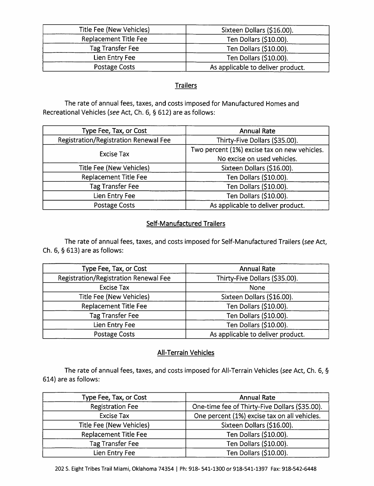| Title Fee (New Vehicles) | Sixteen Dollars (\$16.00).        |
|--------------------------|-----------------------------------|
| Replacement Title Fee    | Ten Dollars (\$10.00).            |
| Tag Transfer Fee         | Ten Dollars (\$10.00).            |
| Lien Entry Fee           | Ten Dollars (\$10.00).            |
| Postage Costs            | As applicable to deliver product. |

### **Trailers**

The rate of annual fees, taxes, and costs imposed for Manufactured Homes and Recreational Vehicles (see Act, Ch. 6, §612) are as follows:

| Type Fee, Tax, or Cost                | <b>Annual Rate</b>                           |
|---------------------------------------|----------------------------------------------|
| Registration/Registration Renewal Fee | Thirty-Five Dollars (\$35.00).               |
| <b>Excise Tax</b>                     | Two percent (1%) excise tax on new vehicles. |
|                                       | No excise on used vehicles.                  |
| Title Fee (New Vehicles)              | Sixteen Dollars (\$16.00).                   |
| Replacement Title Fee                 | Ten Dollars (\$10.00).                       |
| <b>Tag Transfer Fee</b>               | Ten Dollars (\$10.00).                       |
| Lien Entry Fee                        | Ten Dollars (\$10.00).                       |
| Postage Costs                         | As applicable to deliver product.            |

## Self-Manufactured Trailers

The rate of annual fees, taxes, and costs imposed for Self-Manufactured Trailers (see Act. Ch. 6, §613) are as follows;

| Type Fee, Tax, or Cost                | <b>Annual Rate</b>                |
|---------------------------------------|-----------------------------------|
| Registration/Registration Renewal Fee | Thirty-Five Dollars (\$35.00).    |
| Excise Tax                            | None                              |
| Title Fee (New Vehicles)              | Sixteen Dollars (\$16.00).        |
| Replacement Title Fee                 | Ten Dollars (\$10.00).            |
| <b>Tag Transfer Fee</b>               | Ten Dollars (\$10.00).            |
| Lien Entry Fee                        | Ten Dollars (\$10.00).            |
| Postage Costs                         | As applicable to deliver product. |

# All-Terrain Vehicles

The rate of annual fees, taxes, and costs imposed for All-Terrain Vehicles (see Act, Ch. 6, § 614) are as follows:

| Type Fee, Tax, or Cost   | <b>Annual Rate</b>                             |
|--------------------------|------------------------------------------------|
| <b>Registration Fee</b>  | One-time fee of Thirty-Five Dollars (\$35.00). |
| <b>Excise Tax</b>        | One percent (1%) excise tax on all vehicles.   |
| Title Fee (New Vehicles) | Sixteen Dollars (\$16.00).                     |
| Replacement Title Fee    | Ten Dollars (\$10.00).                         |
| <b>Tag Transfer Fee</b>  | Ten Dollars (\$10.00).                         |
| Lien Entry Fee           | Ten Dollars (\$10.00).                         |